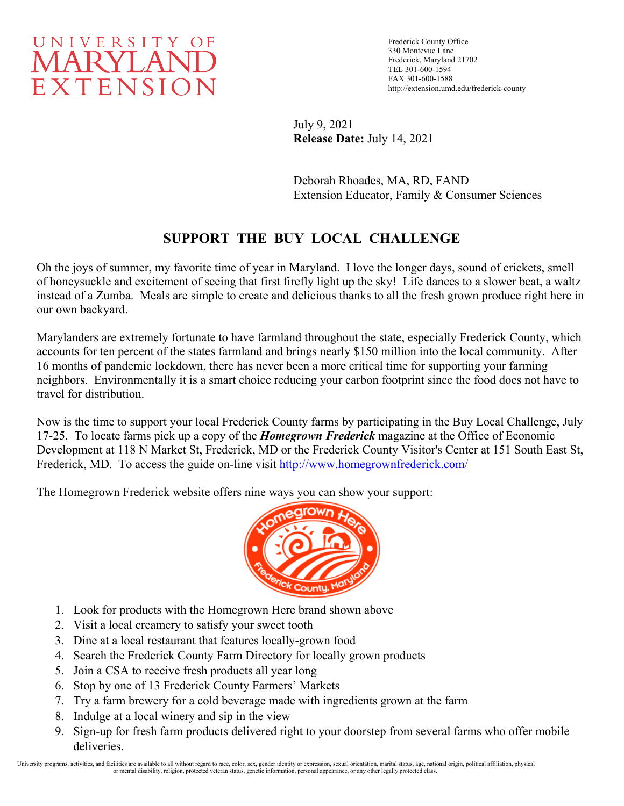

Frederick County Office 330 Montevue Lane Frederick, Maryland 21702 TEL 301-600-1594 FAX 301-600-1588 http://extension.umd.edu/frederick-county

July 9, 2021 **Release Date:** July 14, 2021

Deborah Rhoades, MA, RD, FAND Extension Educator, Family & Consumer Sciences

## **SUPPORT THE BUY LOCAL CHALLENGE**

Oh the joys of summer, my favorite time of year in Maryland. I love the longer days, sound of crickets, smell of honeysuckle and excitement of seeing that first firefly light up the sky! Life dances to a slower beat, a waltz instead of a Zumba. Meals are simple to create and delicious thanks to all the fresh grown produce right here in our own backyard.

Marylanders are extremely fortunate to have farmland throughout the state, especially Frederick County, which accounts for ten percent of the states farmland and brings nearly \$150 million into the local community. After 16 months of pandemic lockdown, there has never been a more critical time for supporting your farming neighbors. Environmentally it is a smart choice reducing your carbon footprint since the food does not have to travel for distribution.

Now is the time to support your local Frederick County farms by participating in the Buy Local Challenge, July 17-25. To locate farms pick up a copy of the *Homegrown Frederick* magazine at the Office of Economic Development at 118 N Market St, Frederick, MD or the Frederick County Visitor's Center at 151 South East St, Frederick, MD. To access the guide on-line visit<http://www.homegrownfrederick.com/>

The Homegrown Frederick website offers nine ways you can show your support:



- 1. Look for products with the Homegrown Here brand shown above
- 2. Visit a local creamery to satisfy your sweet tooth
- 3. Dine at a local restaurant that features locally-grown food
- 4. Search the Frederick County Farm Directory for locally grown products
- 5. Join a CSA to receive fresh products all year long
- 6. Stop by one of 13 Frederick County Farmers' Markets
- 7. Try a farm brewery for a cold beverage made with ingredients grown at the farm
- 8. Indulge at a local winery and sip in the view
- 9. Sign-up for fresh farm products delivered right to your doorstep from several farms who offer mobile deliveries.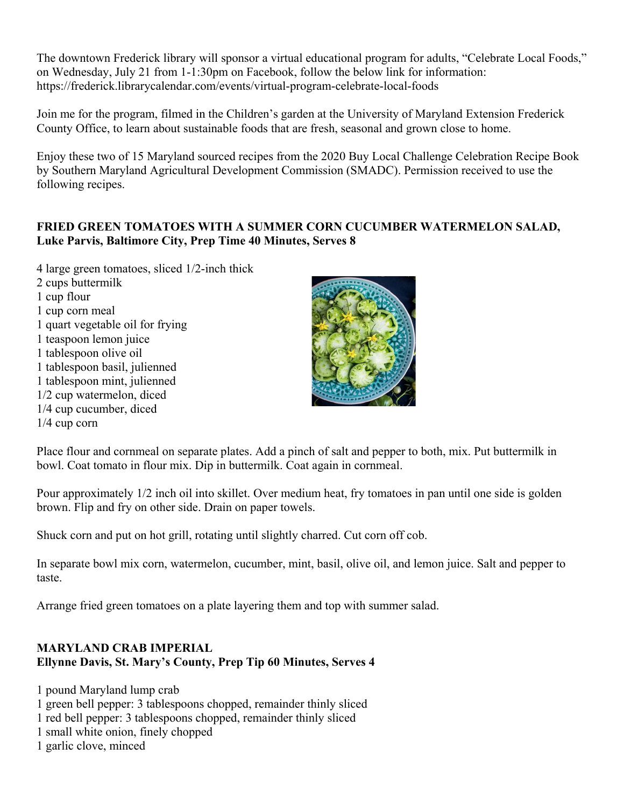The downtown Frederick library will sponsor a virtual educational program for adults, "Celebrate Local Foods," on Wednesday, July 21 from 1-1:30pm on Facebook, follow the below link for information: https://frederick.librarycalendar.com/events/virtual-program-celebrate-local-foods

Join me for the program, filmed in the Children's garden at the University of Maryland Extension Frederick County Office, to learn about sustainable foods that are fresh, seasonal and grown close to home.

Enjoy these two of 15 Maryland sourced recipes from the 2020 Buy Local Challenge Celebration Recipe Book by Southern Maryland Agricultural Development Commission (SMADC). Permission received to use the following recipes.

## **FRIED GREEN TOMATOES WITH A SUMMER CORN CUCUMBER WATERMELON SALAD, Luke Parvis, Baltimore City, Prep Time 40 Minutes, Serves 8**

4 large green tomatoes, sliced 1/2-inch thick 2 cups buttermilk 1 cup flour 1 cup corn meal 1 quart vegetable oil for frying 1 teaspoon lemon juice 1 tablespoon olive oil 1 tablespoon basil, julienned 1 tablespoon mint, julienned 1/2 cup watermelon, diced 1/4 cup cucumber, diced 1/4 cup corn



Place flour and cornmeal on separate plates. Add a pinch of salt and pepper to both, mix. Put buttermilk in bowl. Coat tomato in flour mix. Dip in buttermilk. Coat again in cornmeal.

Pour approximately 1/2 inch oil into skillet. Over medium heat, fry tomatoes in pan until one side is golden brown. Flip and fry on other side. Drain on paper towels.

Shuck corn and put on hot grill, rotating until slightly charred. Cut corn off cob.

In separate bowl mix corn, watermelon, cucumber, mint, basil, olive oil, and lemon juice. Salt and pepper to taste.

Arrange fried green tomatoes on a plate layering them and top with summer salad.

## **MARYLAND CRAB IMPERIAL Ellynne Davis, St. Mary's County, Prep Tip 60 Minutes, Serves 4**

1 pound Maryland lump crab

- 1 green bell pepper: 3 tablespoons chopped, remainder thinly sliced
- 1 red bell pepper: 3 tablespoons chopped, remainder thinly sliced

1 small white onion, finely chopped

1 garlic clove, minced